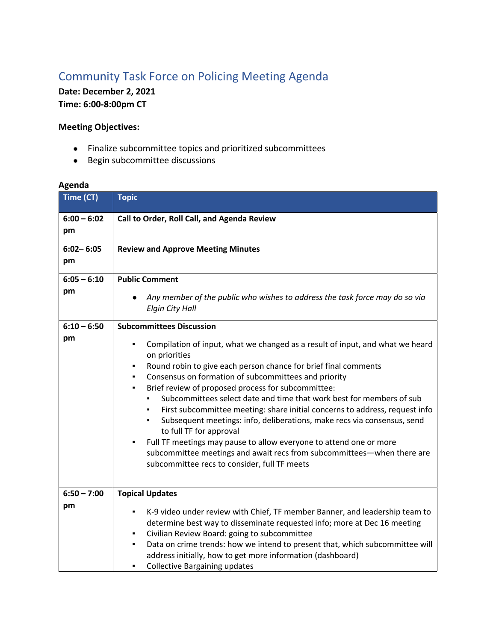## Community Task Force on Policing Meeting Agenda

**Date: December 2, 2021**

**Time: 6:00-8:00pm CT**

## **Meeting Objectives:**

- Finalize subcommittee topics and prioritized subcommittees
- Begin subcommittee discussions

## **Agenda**

| Time (CT)           | <b>Topic</b>                                                                                                                                                                                                                                                                                                                                                                                                                                                                                                                                                                                                                                                                                                                                                                                                                            |
|---------------------|-----------------------------------------------------------------------------------------------------------------------------------------------------------------------------------------------------------------------------------------------------------------------------------------------------------------------------------------------------------------------------------------------------------------------------------------------------------------------------------------------------------------------------------------------------------------------------------------------------------------------------------------------------------------------------------------------------------------------------------------------------------------------------------------------------------------------------------------|
| $6:00 - 6:02$<br>pm | Call to Order, Roll Call, and Agenda Review                                                                                                                                                                                                                                                                                                                                                                                                                                                                                                                                                                                                                                                                                                                                                                                             |
| $6:02 - 6:05$<br>pm | <b>Review and Approve Meeting Minutes</b>                                                                                                                                                                                                                                                                                                                                                                                                                                                                                                                                                                                                                                                                                                                                                                                               |
| $6:05 - 6:10$<br>pm | <b>Public Comment</b><br>Any member of the public who wishes to address the task force may do so via<br><b>Elgin City Hall</b>                                                                                                                                                                                                                                                                                                                                                                                                                                                                                                                                                                                                                                                                                                          |
| $6:10 - 6:50$<br>pm | <b>Subcommittees Discussion</b><br>Compilation of input, what we changed as a result of input, and what we heard<br>٠<br>on priorities<br>Round robin to give each person chance for brief final comments<br>٠<br>Consensus on formation of subcommittees and priority<br>٠<br>Brief review of proposed process for subcommittee:<br>$\blacksquare$<br>Subcommittees select date and time that work best for members of sub<br>First subcommittee meeting: share initial concerns to address, request info<br>Subsequent meetings: info, deliberations, make recs via consensus, send<br>٠<br>to full TF for approval<br>Full TF meetings may pause to allow everyone to attend one or more<br>$\blacksquare$<br>subcommittee meetings and await recs from subcommittees-when there are<br>subcommittee recs to consider, full TF meets |
| $6:50 - 7:00$<br>pm | <b>Topical Updates</b><br>K-9 video under review with Chief, TF member Banner, and leadership team to<br>determine best way to disseminate requested info; more at Dec 16 meeting<br>Civilian Review Board: going to subcommittee<br>٠<br>Data on crime trends: how we intend to present that, which subcommittee will<br>٠<br>address initially, how to get more information (dashboard)<br><b>Collective Bargaining updates</b><br>٠                                                                                                                                                                                                                                                                                                                                                                                                  |